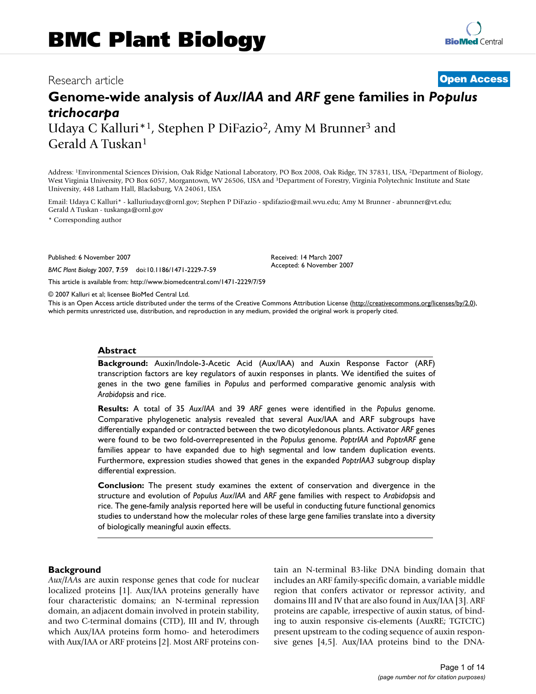# Research article **[Open Access](http://www.biomedcentral.com/info/about/charter/)**

# **Genome-wide analysis of** *Aux/IAA* **and** *ARF* **gene families in** *Populus trichocarpa* Udaya C Kalluri\*1, Stephen P DiFazio2, Amy M Brunner3 and

Gerald A Tuskan1

Address: 1Environmental Sciences Division, Oak Ridge National Laboratory, PO Box 2008, Oak Ridge, TN 37831, USA, 2Department of Biology, West Virginia University, PO Box 6057, Morgantown, WV 26506, USA and 3Department of Forestry, Virginia Polytechnic Institute and State University, 448 Latham Hall, Blacksburg, VA 24061, USA

Email: Udaya C Kalluri\* - kalluriudayc@ornl.gov; Stephen P DiFazio - spdifazio@mail.wvu.edu; Amy M Brunner - abrunner@vt.edu; Gerald A Tuskan - tuskanga@ornl.gov

\* Corresponding author

Published: 6 November 2007

*BMC Plant Biology* 2007, **7**:59 doi:10.1186/1471-2229-7-59

[This article is available from: http://www.biomedcentral.com/1471-2229/7/59](http://www.biomedcentral.com/1471-2229/7/59)

© 2007 Kalluri et al; licensee BioMed Central Ltd.

This is an Open Access article distributed under the terms of the Creative Commons Attribution License [\(http://creativecommons.org/licenses/by/2.0\)](http://creativecommons.org/licenses/by/2.0), which permits unrestricted use, distribution, and reproduction in any medium, provided the original work is properly cited.

Received: 14 March 2007 Accepted: 6 November 2007

#### **Abstract**

**Background:** Auxin/Indole-3-Acetic Acid (Aux/IAA) and Auxin Response Factor (ARF) transcription factors are key regulators of auxin responses in plants. We identified the suites of genes in the two gene families in *Populus* and performed comparative genomic analysis with *Arabidopsis* and rice.

**Results:** A total of 35 *Aux/IAA* and 39 *ARF* genes were identified in the *Populus* genome. Comparative phylogenetic analysis revealed that several Aux/IAA and ARF subgroups have differentially expanded or contracted between the two dicotyledonous plants. Activator *ARF* genes were found to be two fold-overrepresented in the *Populus* genome. *PoptrIAA* and *PoptrARF* gene families appear to have expanded due to high segmental and low tandem duplication events. Furthermore, expression studies showed that genes in the expanded *PoptrIAA3* subgroup display differential expression.

**Conclusion:** The present study examines the extent of conservation and divergence in the structure and evolution of *Populus Aux/IAA* and *ARF* gene families with respect to *Arabidopsis* and rice. The gene-family analysis reported here will be useful in conducting future functional genomics studies to understand how the molecular roles of these large gene families translate into a diversity of biologically meaningful auxin effects.

#### **Background**

*Aux/IAA*s are auxin response genes that code for nuclear localized proteins [1]. Aux/IAA proteins generally have four characteristic domains; an N-terminal repression domain, an adjacent domain involved in protein stability, and two C-terminal domains (CTD), III and IV, through which Aux/IAA proteins form homo- and heterodimers with Aux/IAA or ARF proteins [2]. Most ARF proteins contain an N-terminal B3-like DNA binding domain that includes an ARF family-specific domain, a variable middle region that confers activator or repressor activity, and domains III and IV that are also found in Aux/IAA [3]. ARF proteins are capable, irrespective of auxin status, of binding to auxin responsive cis-elements (AuxRE; TGTCTC) present upstream to the coding sequence of auxin responsive genes [4,5]. Aux/IAA proteins bind to the DNA-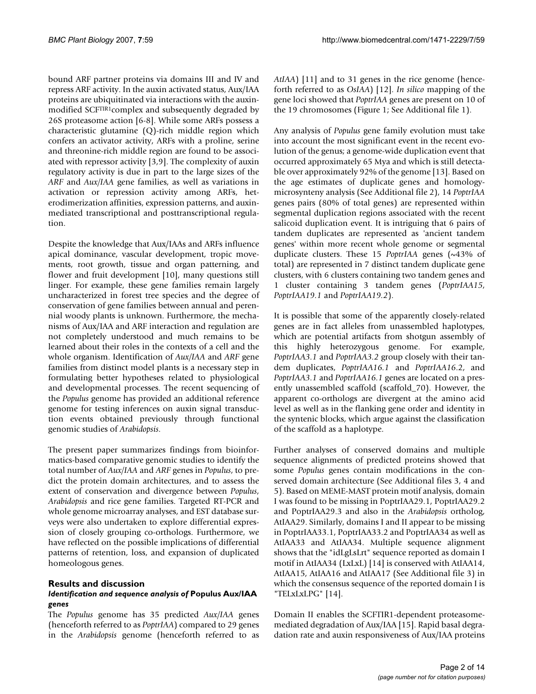bound ARF partner proteins via domains III and IV and repress ARF activity. In the auxin activated status, Aux/IAA proteins are ubiquitinated via interactions with the auxinmodified SCFTIR1complex and subsequently degraded by 26S proteasome action [6-8]. While some ARFs possess a characteristic glutamine (Q)-rich middle region which confers an activator activity, ARFs with a proline, serine and threonine-rich middle region are found to be associated with repressor activity [3,9]. The complexity of auxin regulatory activity is due in part to the large sizes of the *ARF* and *Aux/IAA* gene families, as well as variations in activation or repression activity among ARFs, heterodimerization affinities, expression patterns, and auxinmediated transcriptional and posttranscriptional regulation.

Despite the knowledge that Aux/IAAs and ARFs influence apical dominance, vascular development, tropic movements, root growth, tissue and organ patterning, and flower and fruit development [10], many questions still linger. For example, these gene families remain largely uncharacterized in forest tree species and the degree of conservation of gene families between annual and perennial woody plants is unknown. Furthermore, the mechanisms of Aux/IAA and ARF interaction and regulation are not completely understood and much remains to be learned about their roles in the contexts of a cell and the whole organism. Identification of *Aux/IAA* and *ARF* gene families from distinct model plants is a necessary step in formulating better hypotheses related to physiological and developmental processes. The recent sequencing of the *Populus* genome has provided an additional reference genome for testing inferences on auxin signal transduction events obtained previously through functional genomic studies of *Arabidopsis*.

The present paper summarizes findings from bioinformatics-based comparative genomic studies to identify the total number of *Aux/IAA* and *ARF* genes in *Populus*, to predict the protein domain architectures, and to assess the extent of conservation and divergence between *Populus*, *Arabidopsis* and rice gene families. Targeted RT-PCR and whole genome microarray analyses, and EST database surveys were also undertaken to explore differential expression of closely grouping co-orthologs. Furthermore, we have reflected on the possible implications of differential patterns of retention, loss, and expansion of duplicated homeologous genes.

#### **Results and discussion**

#### *Identification and sequence analysis of* **Populus Aux/IAA**  *genes*

The *Populus* genome has 35 predicted *Aux/IAA* genes (henceforth referred to as *PoptrIAA*) compared to 29 genes in the *Arabidopsis* genome (henceforth referred to as *AtIAA*) [11] and to 31 genes in the rice genome (henceforth referred to as *OsIAA*) [12]. *In silico* mapping of the gene loci showed that *PoptrIAA* genes are present on 10 of the 19 chromosomes (Figure 1; See Additional file 1).

Any analysis of *Populus* gene family evolution must take into account the most significant event in the recent evolution of the genus; a genome-wide duplication event that occurred approximately 65 Mya and which is still detectable over approximately 92% of the genome [13]. Based on the age estimates of duplicate genes and homologymicrosynteny analysis (See Additional file 2), 14 *PoptrIAA* genes pairs (80% of total genes) are represented within segmental duplication regions associated with the recent salicoid duplication event. It is intriguing that 6 pairs of tandem duplicates are represented as 'ancient tandem genes' within more recent whole genome or segmental duplicate clusters. These 15 *PoptrIAA* genes (~43% of total) are represented in 7 distinct tandem duplicate gene clusters, with 6 clusters containing two tandem genes and 1 cluster containing 3 tandem genes (*PoptrIAA15*, *PoptrIAA19.1* and *PoptrIAA19.2*).

It is possible that some of the apparently closely-related genes are in fact alleles from unassembled haplotypes, which are potential artifacts from shotgun assembly of this highly heterozygous genome. For example, *PoptrIAA3.1* and *PoptrIAA3.2* group closely with their tandem duplicates, *PoptrIAA16.1* and *PoptrIAA16*.2, and *PoptrIAA3.1* and *PoptrIAA16.1* genes are located on a presently unassembled scaffold (scaffold\_70). However, the apparent co-orthologs are divergent at the amino acid level as well as in the flanking gene order and identity in the syntenic blocks, which argue against the classification of the scaffold as a haplotype.

Further analyses of conserved domains and multiple sequence alignments of predicted proteins showed that some *Populus* genes contain modifications in the conserved domain architecture (See Additional files 3, 4 and 5). Based on MEME-MAST protein motif analysis, domain I was found to be missing in PoptrIAA29.1, PoptrIAA29.2 and PoptrIAA29.3 and also in the *Arabidopsis* ortholog, AtIAA29. Similarly, domains I and II appear to be missing in PoptrIAA33.1, PoptrIAA33.2 and PoptrIAA34 as well as AtIAA33 and AtIAA34. Multiple sequence alignment shows that the "idLgLsLrt" sequence reported as domain I motif in AtIAA34 (LxLxL) [14] is conserved with AtIAA14, AtIAA15, AtIAA16 and AtIAA17 (See Additional file 3) in which the consensus sequence of the reported domain I is "TELxLxLPG" [14].

Domain II enables the SCFTIR1-dependent proteasomemediated degradation of Aux/IAA [15]. Rapid basal degradation rate and auxin responsiveness of Aux/IAA proteins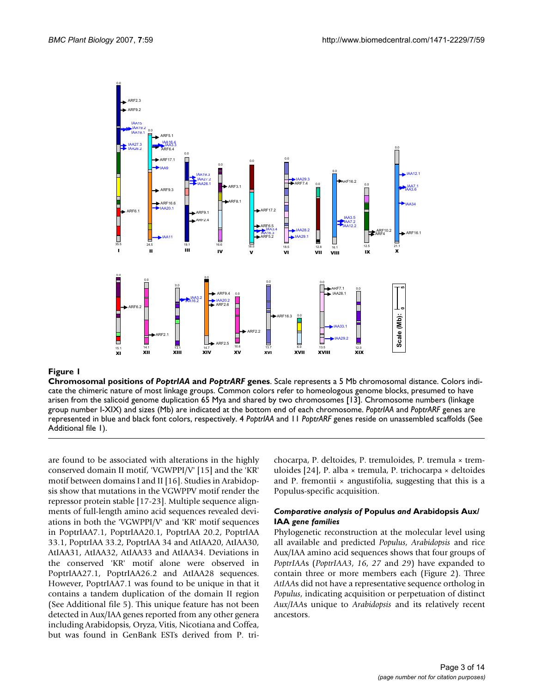

#### **Figure 1**

**Chromosomal positions of** *PoptrIAA* **and** *PoptrARF* **genes**. Scale represents a 5 Mb chromosomal distance. Colors indicate the chimeric nature of most linkage groups. Common colors refer to homeologous genome blocks, presumed to have arisen from the salicoid genome duplication 65 Mya and shared by two chromosomes [13]. Chromosome numbers (linkage group number I-XIX) and sizes (Mb) are indicated at the bottom end of each chromosome. *PoptrIAA* and *PoptrARF* genes are represented in blue and black font colors, respectively. 4 *PoptrIAA* and 11 *PoptrARF* genes reside on unassembled scaffolds (See Additional file 1).

are found to be associated with alterations in the highly conserved domain II motif, 'VGWPPI/V' [15] and the 'KR' motif between domains I and II [16]. Studies in Arabidopsis show that mutations in the VGWPPV motif render the repressor protein stable [17-23]. Multiple sequence alignments of full-length amino acid sequences revealed deviations in both the 'VGWPPI/V' and 'KR' motif sequences in PoptrIAA7.1, PoptrIAA20.1, PoptrIAA 20.2, PoptrIAA 33.1, PoptrIAA 33.2, PoptrIAA 34 and AtIAA20, AtIAA30, AtIAA31, AtIAA32, AtIAA33 and AtIAA34. Deviations in the conserved 'KR' motif alone were observed in PoptrIAA27.1, PoptrIAA26.2 and AtIAA28 sequences. However, PoptrIAA7.1 was found to be unique in that it contains a tandem duplication of the domain II region (See Additional file 5). This unique feature has not been detected in Aux/IAA genes reported from any other genera including Arabidopsis, Oryza, Vitis, Nicotiana and Coffea, but was found in GenBank ESTs derived from P. trichocarpa, P. deltoides, P. tremuloides, P. tremula × tremuloides [24], P. alba × tremula, P. trichocarpa × deltoides and P. fremontii  $\times$  angustifolia, suggesting that this is a Populus-specific acquisition.

#### *Comparative analysis of* **Populus** *and* **Arabidopsis Aux/ IAA** *gene families*

Phylogenetic reconstruction at the molecular level using all available and predicted *Populus*, *Arabidopsis* and rice Aux/IAA amino acid sequences shows that four groups of *PoptrIAA*s (*PoptrIAA3*, *16*, *27* and *29*) have expanded to contain three or more members each (Figure 2). Three *AtIAA*s did not have a representative sequence ortholog in *Populus*, indicating acquisition or perpetuation of distinct *Aux/IAA*s unique to *Arabidopsis* and its relatively recent ancestors.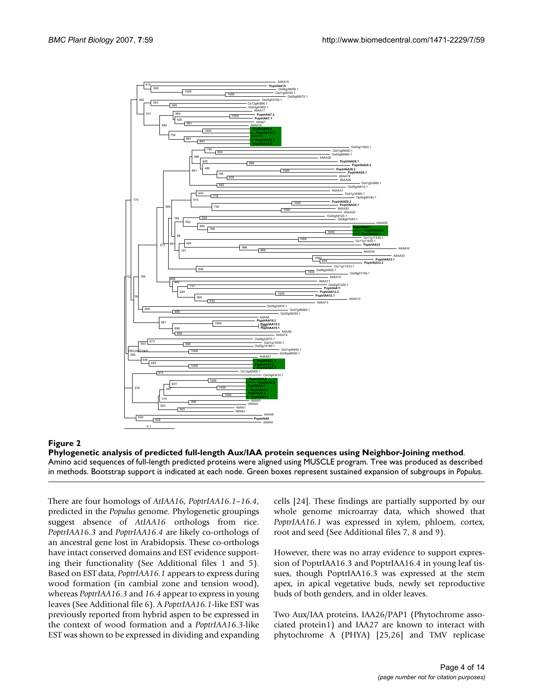

**Phylogenetic analysis of predicted full-length Aux/IAA protein sequences using Neighbor-Joining method**. Amino acid sequences of full-length predicted proteins were aligned using MUSCLE program. Tree was produced as described in methods. Bootstrap support is indicated at each node. Green boxes represent sustained expansion of subgroups in *Populus*.

There are four homologs of *AtIAA16*, *PoptrIAA16.1–16.4*, predicted in the *Populus* genome. Phylogenetic groupings suggest absence of *AtIAA16* orthologs from rice. *PoptrIAA16.3* and *PoptrIAA16.4* are likely co-orthologs of an ancestral gene lost in Arabidopsis. These co-orthologs have intact conserved domains and EST evidence supporting their functionality (See Additional files 1 and 5). Based on EST data, *PoptrIAA16.1* appears to express during wood formation (in cambial zone and tension wood), whereas *PoptrIAA16.3* and *16.4* appear to express in young leaves (See Additional file 6). A *PoptrIAA16.1-*like EST was previously reported from hybrid aspen to be expressed in the context of wood formation and a *PoptrIAA16.3*-like EST was shown to be expressed in dividing and expanding cells [24]. These findings are partially supported by our whole genome microarray data, which showed that *PoptrIAA16.1* was expressed in xylem, phloem, cortex, root and seed (See Additional files 7, 8 and 9).

However, there was no array evidence to support expression of PoptrIAA16.3 and PoptrIAA16.4 in young leaf tissues, though PoptrIAA16.3 was expressed at the stem apex, in apical vegetative buds, newly set reproductive buds of both genders, and in older leaves.

Two Aux/IAA proteins, IAA26/PAP1 (Phytochrome associated protein1) and IAA27 are known to interact with phytochrome A (PHYA) [25,26] and TMV replicase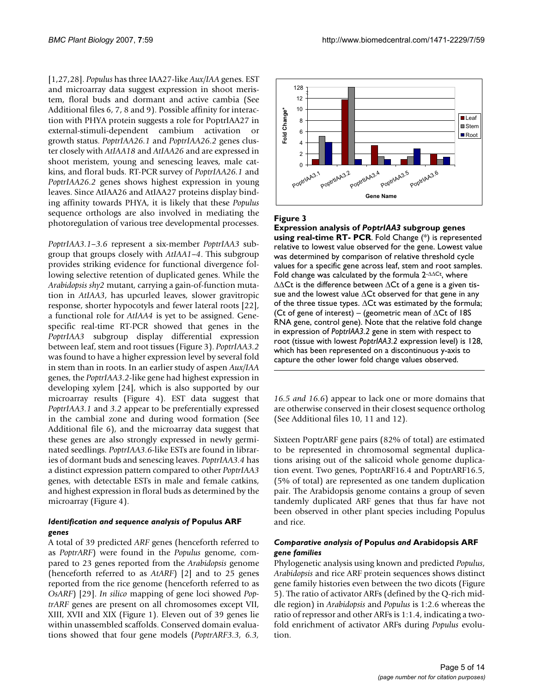[1,27,28]. *Populus* has three IAA27-like *Aux/IAA* genes. EST and microarray data suggest expression in shoot meristem, floral buds and dormant and active cambia (See Additional files 6, 7, 8 and 9). Possible affinity for interaction with PHYA protein suggests a role for PoptrIAA27 in external-stimuli-dependent cambium activation or growth status. *PoptrIAA26.1* and *PoptrIAA26.2* genes cluster closely with *AtIAA18* and *AtIAA26* and are expressed in shoot meristem, young and senescing leaves, male catkins, and floral buds. RT-PCR survey of *PoptrIAA26.1* and *PoptrIAA26.2* genes shows highest expression in young leaves. Since AtIAA26 and AtIAA27 proteins display binding affinity towards PHYA, it is likely that these *Populus* sequence orthologs are also involved in mediating the photoregulation of various tree developmental processes.

*PoptrIAA3.1–3.6* represent a six-member *PoptrIAA3* subgroup that groups closely with *AtIAA1–4*. This subgroup provides striking evidence for functional divergence following selective retention of duplicated genes. While the *Arabidopsis shy2* mutant, carrying a gain-of-function mutation in *AtIAA3*, has upcurled leaves, slower gravitropic response, shorter hypocotyls and fewer lateral roots [22], a functional role for *AtIAA4* is yet to be assigned. Genespecific real-time RT-PCR showed that genes in the *PoptrIAA3* subgroup display differential expression between leaf, stem and root tissues (Figure 3). *PoptrIAA3.2* was found to have a higher expression level by several fold in stem than in roots. In an earlier study of aspen *Aux/IAA* genes, the *PoptrIAA3.2*-like gene had highest expression in developing xylem [24], which is also supported by our microarray results (Figure 4). EST data suggest that *PoptrIAA3.1* and *3.2* appear to be preferentially expressed in the cambial zone and during wood formation (See Additional file 6), and the microarray data suggest that these genes are also strongly expressed in newly germinated seedlings. *PoptrIAA3.6*-like ESTs are found in libraries of dormant buds and senescing leaves. *PoptrIAA3.4* has a distinct expression pattern compared to other *PoptrIAA3* genes, with detectable ESTs in male and female catkins, and highest expression in floral buds as determined by the microarray (Figure 4).

#### *Identification and sequence analysis of* **Populus ARF**  *genes*

A total of 39 predicted *ARF* genes (henceforth referred to as *PoptrARF*) were found in the *Populus* genome, compared to 23 genes reported from the *Arabidopsis* genome (henceforth referred to as *AtARF*) [2] and to 25 genes reported from the rice genome (henceforth referred to as *OsARF*) [29]. *In silico* mapping of gene loci showed *PoptrARF* genes are present on all chromosomes except VII, XIII, XVII and XIX (Figure 1). Eleven out of 39 genes lie within unassembled scaffolds. Conserved domain evaluations showed that four gene models (*PoptrARF3.3, 6.3,*



#### **Figure 3**

**Expression analysis of** *PoptrIAA3* **subgroup genes using real-time RT- PCR**. Fold Change (\*) is represented relative to lowest value observed for the gene. Lowest value was determined by comparison of relative threshold cycle values for a specific gene across leaf, stem and root samples. Fold change was calculated by the formula 2-ΔΔCt, where  $\Delta\Delta$ Ct is the difference between  $\Delta$ Ct of a gene is a given tissue and the lowest value ΔCt observed for that gene in any of the three tissue types.  $\Delta$ Ct was estimated by the formula; (Ct of gene of interest) – (geometric mean of  $\Delta$ Ct of 18S RNA gene, control gene). Note that the relative fold change in expression of *PoptrIAA3.2* gene in stem with respect to root (tissue with lowest *PoptrIAA3.2* expression level) is 128, which has been represented on a discontinuous y-axis to capture the other lower fold change values observed.

*16.5 and 16.6*) appear to lack one or more domains that are otherwise conserved in their closest sequence ortholog (See Additional files 10, 11 and 12).

Sixteen PoptrARF gene pairs (82% of total) are estimated to be represented in chromosomal segmental duplications arising out of the salicoid whole genome duplication event. Two genes, PoptrARF16.4 and PoptrARF16.5, (5% of total) are represented as one tandem duplication pair. The Arabidopsis genome contains a group of seven tandemly duplicated ARF genes that thus far have not been observed in other plant species including Populus and rice.

#### *Comparative analysis of* **Populus** *and* **Arabidopsis ARF**  *gene families*

Phylogenetic analysis using known and predicted *Populus*, *Arabidopsis* and rice ARF protein sequences shows distinct gene family histories even between the two dicots (Figure 5). The ratio of activator ARFs (defined by the Q-rich middle region) in *Arabidopsis* and *Populus* is 1:2.6 whereas the ratio of repressor and other ARFs is 1:1.4, indicating a twofold enrichment of activator ARFs during *Populus* evolution.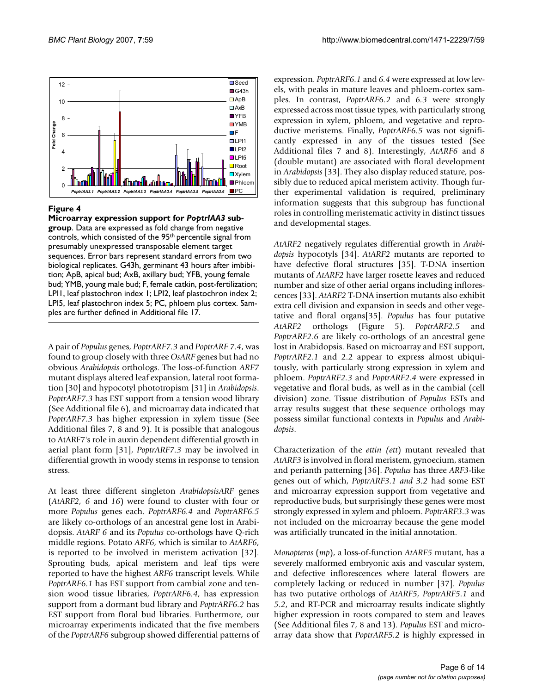

#### **Figure 4**

**Microarray expression support for** *PoptrIAA3* **subgroup**. Data are expressed as fold change from negative controls, which consisted of the 95th percentile signal from presumably unexpressed transposable element target sequences. Error bars represent standard errors from two biological replicates. G43h, germinant 43 hours after imbibition; ApB, apical bud; AxB, axillary bud; YFB, young female bud; YMB, young male bud; F, female catkin, post-fertilization; LPI1, leaf plastochron index 1; LPI2, leaf plastochron index 2; LPI5, leaf plastochron index 5; PC, phloem plus cortex. Samples are further defined in Additional file 17.

A pair of *Populus* genes, *PoptrARF7.3* and *PoptrARF 7.4*, was found to group closely with three *OsARF* genes but had no obvious *Arabidopsis* orthologs. The loss-of-function *ARF7* mutant displays altered leaf expansion, lateral root formation [30] and hypocotyl phototropism [31] in *Arabidopsis*. *PoptrARF7.3* has EST support from a tension wood library (See Additional file 6), and microarray data indicated that *PoptrARF7.3* has higher expression in xylem tissue (See Additional files 7, 8 and 9). It is possible that analogous to AtARF7's role in auxin dependent differential growth in aerial plant form [31], *PoptrARF7.3* may be involved in differential growth in woody stems in response to tension stress.

At least three different singleton *ArabidopsisARF* genes (*AtARF2, 6* and *16*) were found to cluster with four or more *Populus* genes each. *PoptrARF6.4* and *PoptrARF6.5* are likely co-orthologs of an ancestral gene lost in Arabidopsis. *AtARF 6* and its *Populus* co-orthologs have Q-rich middle regions. Potato *ARF6*, which is similar to *AtARF6*, is reported to be involved in meristem activation [32]. Sprouting buds, apical meristem and leaf tips were reported to have the highest *ARF6* transcript levels. While *PoptrARF6.1* has EST support from cambial zone and tension wood tissue libraries, *PoptrARF6.4*, has expression support from a dormant bud library and *PoptrARF6.2* has EST support from floral bud libraries. Furthermore, our microarray experiments indicated that the five members of the *PoptrARF6* subgroup showed differential patterns of expression. *PoptrARF6.1* and *6.4* were expressed at low levels, with peaks in mature leaves and phloem-cortex samples. In contrast, *PoptrARF6.2* and *6.3* were strongly expressed across most tissue types, with particularly strong expression in xylem, phloem, and vegetative and reproductive meristems. Finally, *PoptrARF6.5* was not significantly expressed in any of the tissues tested (See Additional files 7 and 8). Interestingly, *AtARF6* and *8* (double mutant) are associated with floral development in *Arabidopsis* [33]. They also display reduced stature, possibly due to reduced apical meristem activity. Though further experimental validation is required, preliminary information suggests that this subgroup has functional roles in controlling meristematic activity in distinct tissues and developmental stages.

*AtARF2* negatively regulates differential growth in *Arabidopsis* hypocotyls [34]. *AtARF2* mutants are reported to have defective floral structures [35]. T-DNA insertion mutants of *AtARF2* have larger rosette leaves and reduced number and size of other aerial organs including inflorescences [33]. *AtARF2* T-DNA insertion mutants also exhibit extra cell division and expansion in seeds and other vegetative and floral organs[35]. *Populus* has four putative *AtARF2* orthologs (Figure 5). *PoptrARF2.5* and *PoptrARF2.6* are likely co-orthologs of an ancestral gene lost in Arabidopsis. Based on microarray and EST support, *PoptrARF2.1* and 2.2 appear to express almost ubiquitously, with particularly strong expression in xylem and phloem. *PoptrARF2.3* and *PoptrARF2.4* were expressed in vegetative and floral buds, as well as in the cambial (cell division) zone. Tissue distribution of *Populus* ESTs and array results suggest that these sequence orthologs may possess similar functional contexts in *Populus* and *Arabidopsis*.

Characterization of the *ettin (ett*) mutant revealed that *AtARF3* is involved in floral meristem, gynoecium, stamen and perianth patterning [36]. *Populus* has three *ARF3*-like genes out of which, *PoptrARF3.1 and 3.2* had some EST and microarray expression support from vegetative and reproductive buds, but surprisingly these genes were most strongly expressed in xylem and phloem. *PoptrARF3.3* was not included on the microarray because the gene model was artificially truncated in the initial annotation.

*Monopteros* (*mp*), a loss-of-function *AtARF5* mutant, has a severely malformed embryonic axis and vascular system, and defective inflorescences where lateral flowers are completely lacking or reduced in number [37]. *Populus* has two putative orthologs of *AtARF5*, *PoptrARF5.1* and *5.2*, and RT-PCR and microarray results indicate slightly higher expression in roots compared to stem and leaves (See Additional files 7, 8 and 13). *Populus* EST and microarray data show that *PoptrARF5.2* is highly expressed in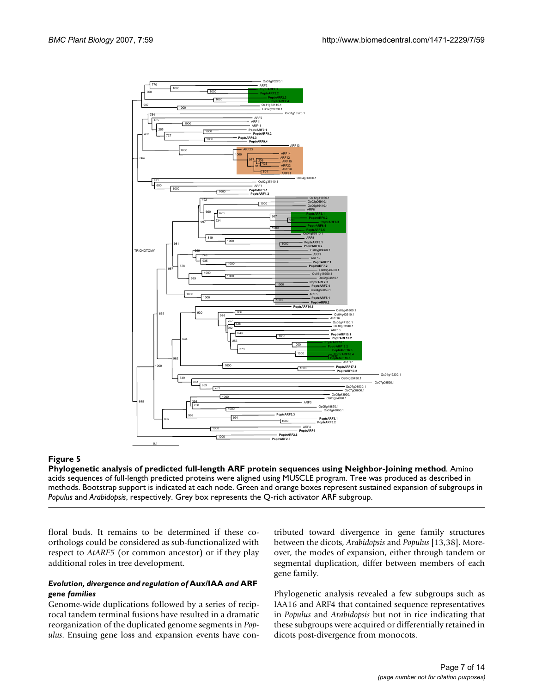

**Phylogenetic analysis of predicted full-length ARF protein sequences using Neighbor-Joining method**. Amino acids sequences of full-length predicted proteins were aligned using MUSCLE program. Tree was produced as described in methods. Bootstrap support is indicated at each node. Green and orange boxes represent sustained expansion of subgroups in *Populus* and *Arabidopsis*, respectively. Grey box represents the Q-rich activator ARF subgroup.

floral buds. It remains to be determined if these coorthologs could be considered as sub-functionalized with respect to *AtARF5* (or common ancestor) or if they play additional roles in tree development.

#### *Evolution, divergence and regulation of* **Aux/IAA** *and* **ARF**  *gene families*

Genome-wide duplications followed by a series of reciprocal tandem terminal fusions have resulted in a dramatic reorganization of the duplicated genome segments in *Populus*. Ensuing gene loss and expansion events have contributed toward divergence in gene family structures between the dicots, *Arabidopsis* and *Populus* [13,38]**.** Moreover, the modes of expansion, either through tandem or segmental duplication, differ between members of each gene family.

Phylogenetic analysis revealed a few subgroups such as IAA16 and ARF4 that contained sequence representatives in *Populus* and *Arabidopsis* but not in rice indicating that these subgroups were acquired or differentially retained in dicots post-divergence from monocots.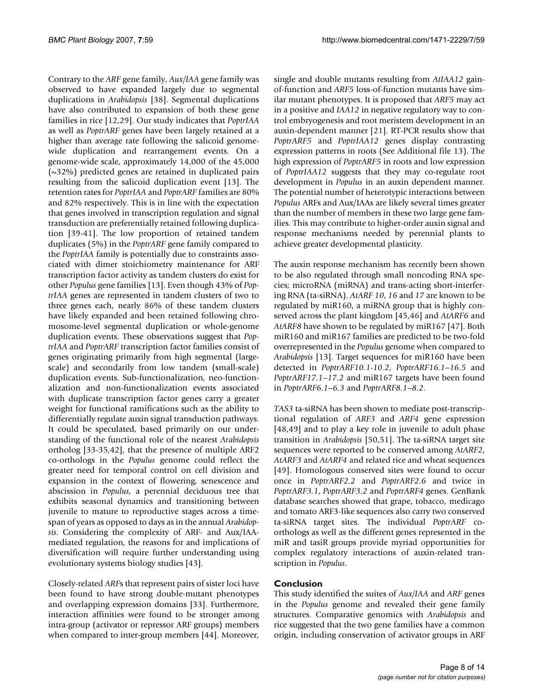Contrary to the *ARF* gene family, *Aux/IAA* gene family was observed to have expanded largely due to segmental duplications in *Arabidopsis* [38]. Segmental duplications have also contributed to expansion of both these gene families in rice [12,29]. Our study indicates that *PoptrIAA* as well as *PoptrARF* genes have been largely retained at a higher than average rate following the salicoid genomewide duplication and rearrangement events. On a genome-wide scale, approximately 14,000 of the 45,000 (~32%) predicted genes are retained in duplicated pairs resulting from the salicoid duplication event [13]. The retention rates for *PoptrIAA* and *PoptrARF* families are 80% and 82% respectively. This is in line with the expectation that genes involved in transcription regulation and signal transduction are preferentially retained following duplication [39-41]. The low proportion of retained tandem duplicates (5%) in the *PoptrARF* gene family compared to the *PoptrIAA* family is potentially due to constraints associated with dimer stoichiometry maintenance for ARF transcription factor activity as tandem clusters do exist for other *Populus* gene families [13]. Even though 43% of *PoptrIAA* genes are represented in tandem clusters of two to three genes each, nearly 86% of these tandem clusters have likely expanded and been retained following chromosome-level segmental duplication or whole-genome duplication events. These observations suggest that *PoptrIAA* and *PoptrARF* transcription factor families consist of genes originating primarily from high segmental (largescale) and secondarily from low tandem (small-scale) duplication events. Sub-functionalization, neo-functionalization and non-functionalization events associated with duplicate transcription factor genes carry a greater weight for functional ramifications such as the ability to differentially regulate auxin signal transduction pathways. It could be speculated, based primarily on our understanding of the functional role of the nearest *Arabidopsis* ortholog [33-35,42], that the presence of multiple ARF2 co-orthologs in the *Populus* genome could reflect the greater need for temporal control on cell division and expansion in the context of flowering, senescence and abscission in *Populus*, a perennial deciduous tree that exhibits seasonal dynamics and transitioning between juvenile to mature to reproductive stages across a timespan of years as opposed to days as in the annual *Arabidopsis*. Considering the complexity of ARF- and Aux/IAAmediated regulation, the reasons for and implications of diversification will require further understanding using evolutionary systems biology studies [43].

Closely-related *ARF*s that represent pairs of sister loci have been found to have strong double-mutant phenotypes and overlapping expression domains [33]. Furthermore, interaction affinities were found to be stronger among intra-group (activator or repressor ARF groups) members when compared to inter-group members [44]. Moreover,

single and double mutants resulting from *AtIAA12* gainof-function and *ARF5* loss-of-function mutants have similar mutant phenotypes. It is proposed that *ARF5* may act in a positive and *IAA12* in negative regulatory way to control embryogenesis and root meristem development in an auxin-dependent manner [21]. RT-PCR results show that *PoptrARF5* and *PoptrIAA12* genes display contrasting expression patterns in roots (See Additional file 13). The high expression of *PoptrARF5* in roots and low expression of *PoptrIAA12* suggests that they may co-regulate root development in *Populus* in an auxin dependent manner. The potential number of heterotypic interactions between *Populus* ARFs and Aux/IAAs are likely several times greater than the number of members in these two large gene families. This may contribute to higher-order auxin signal and response mechanisms needed by perennial plants to achieve greater developmental plasticity.

The auxin response mechanism has recently been shown to be also regulated through small noncoding RNA species; microRNA (miRNA) and trans-acting short-interfering RNA (ta-siRNA). *AtARF 10*, *16* and *17* are known to be regulated by miR160, a miRNA group that is highly conserved across the plant kingdom [45,46] and *AtARF6* and *AtARF8* have shown to be regulated by miR167 [47]. Both miR160 and miR167 families are predicted to be two-fold overrepresented in the *Populus* genome when compared to *Arabidopsis* [13]. Target sequences for miR160 have been detected in *PoptrARF10.1*-*10.2*, *PoptrARF16.1–16.5* and *PoptrARF17.1–17.2* and miR167 targets have been found in *PoptrARF6.1–6.3* and *PoptrARF8.1–8.2*.

*TAS3* ta-siRNA has been shown to mediate post-transcriptional regulation of *ARF3* and *ARF4* gene expression [48,49] and to play a key role in juvenile to adult phase transition in *Arabidopsis* [50,51]. The ta-siRNA target site sequences were reported to be conserved among *AtARF2*, *AtARF3* and *AtARF4* and related rice and wheat sequences [49]. Homologous conserved sites were found to occur once in *PoptrARF2.2* and *PoptrARF2.6* and twice in *PoptrARF3.1*, *PoptrARF3.2* and *PoptrARF4* genes. GenBank database searches showed that grape, tobacco, medicago and tomato ARF3-like sequences also carry two conserved ta-siRNA target sites. The individual *PoptrARF* coorthologs as well as the different genes represented in the miR and tasiR groups provide myriad opportunities for complex regulatory interactions of auxin-related transcription in *Populus*.

#### **Conclusion**

This study identified the suites of *Aux/IAA* and *ARF* genes in the *Populus* genome and revealed their gene family structures. Comparative genomics with *Arabidopsis* and rice suggested that the two gene families have a common origin, including conservation of activator groups in ARF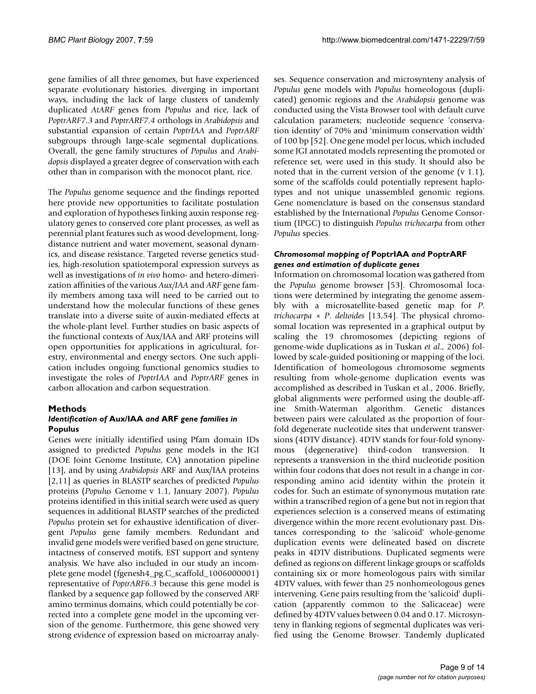gene families of all three genomes, but have experienced separate evolutionary histories, diverging in important ways, including the lack of large clusters of tandemly duplicated *AtARF* genes from *Populus* and rice, lack of *PoptrARF7.3* and *PoptrARF7.4* orthologs in *Arabidopsis* and substantial expansion of certain *PoptrIAA* and *PoptrARF* subgroups through large-scale segmental duplications. Overall, the gene family structures of *Populus* and *Arabidopsis* displayed a greater degree of conservation with each other than in comparison with the monocot plant, rice.

The *Populus* genome sequence and the findings reported here provide new opportunities to facilitate postulation and exploration of hypotheses linking auxin response regulatory genes to conserved core plant processes, as well as perennial plant features such as wood development, longdistance nutrient and water movement, seasonal dynamics, and disease resistance. Targeted reverse genetics studies, high-resolution spatiotemporal expression surveys as well as investigations of *in vivo* homo- and hetero-dimerization affinities of the various *Aux/IAA* and *ARF* gene family members among taxa will need to be carried out to understand how the molecular functions of these genes translate into a diverse suite of auxin-mediated effects at the whole-plant level. Further studies on basic aspects of the functional contexts of Aux/IAA and ARF proteins will open opportunities for applications in agricultural, forestry, environmental and energy sectors. One such application includes ongoing functional genomics studies to investigate the roles of *PoptrIAA* and *PoptrARF* genes in carbon allocation and carbon sequestration.

#### **Methods**

#### *Identification of* **Aux/IAA** *and* **ARF** *gene families in*  **Populus**

Genes were initially identified using Pfam domain IDs assigned to predicted *Populus* gene models in the JGI (DOE Joint Genome Institute, CA) annotation pipeline [13], and by using *Arabidopsis* ARF and Aux/IAA proteins [2,11] as queries in BLASTP searches of predicted *Populus* proteins (*Populus* Genome v 1.1, January 2007). *Populus* proteins identified in this initial search were used as query sequences in additional BLASTP searches of the predicted *Populus* protein set for exhaustive identification of divergent *Populus* gene family members. Redundant and invalid gene models were verified based on gene structure, intactness of conserved motifs, EST support and synteny analysis. We have also included in our study an incomplete gene model (fgenesh4\_pg.C\_scaffold\_1006000001) representative of *PoptrARF6.3* because this gene model is flanked by a sequence gap followed by the conserved ARF amino terminus domains, which could potentially be corrected into a complete gene model in the upcoming version of the genome. Furthermore, this gene showed very strong evidence of expression based on microarray analyses. Sequence conservation and microsynteny analysis of *Populus* gene models with *Populus* homeologous (duplicated) genomic regions and the *Arabidopsis* genome was conducted using the Vista Browser tool with default curve calculation parameters; nucleotide sequence 'conservation identity' of 70% and 'minimum conservation width' of 100 bp [52]. One gene model per locus, which included some JGI annotated models representing the promoted or reference set, were used in this study. It should also be noted that in the current version of the genome  $(v 1.1)$ , some of the scaffolds could potentially represent haplotypes and not unique unassembled genomic regions. Gene nomenclature is based on the consensus standard established by the International *Populus* Genome Consortium (IPGC) to distinguish *Populus trichocarpa* from other *Populus* species.

#### *Chromosomal mapping of* **PoptrIAA** *and* **PoptrARF**  *genes and estimation of duplicate genes*

Information on chromosomal location was gathered from the *Populus* genome browser [53]. Chromosomal locations were determined by integrating the genome assembly with a microsatellite-based genetic map for *P*. *trichocarpa* × *P*. *deltoides* [13,54]. The physical chromosomal location was represented in a graphical output by scaling the 19 chromosomes (depicting regions of genome-wide duplications as in Tuskan *et al*., 2006) followed by scale-guided positioning or mapping of the loci. Identification of homeologous chromosome segments resulting from whole-genome duplication events was accomplished as described in Tuskan et al., 2006. Briefly, global alignments were performed using the double-affine Smith-Waterman algorithm. Genetic distances between pairs were calculated as the proportion of fourfold degenerate nucleotide sites that underwent transversions (4DTV distance). 4DTV stands for four-fold synonymous (degenerative) third-codon transversion. It represents a transversion in the third nucleotide position within four codons that does not result in a change in corresponding amino acid identity within the protein it codes for. Such an estimate of synonymous mutation rate within a transcribed region of a gene but not in region that experiences selection is a conserved means of estimating divergence within the more recent evolutionary past. Distances corresponding to the 'salicoid' whole-genome duplication events were delineated based on discrete peaks in 4DTV distributions. Duplicated segments were defined as regions on different linkage groups or scaffolds containing six or more homeologous pairs with similar 4DTV values, with fewer than 25 nonhomeologous genes intervening. Gene pairs resulting from the 'salicoid' duplication (apparently common to the Salicaceae) were defined by 4DTV values between 0.04 and 0.17. Microsynteny in flanking regions of segmental duplicates was verified using the Genome Browser. Tandemly duplicated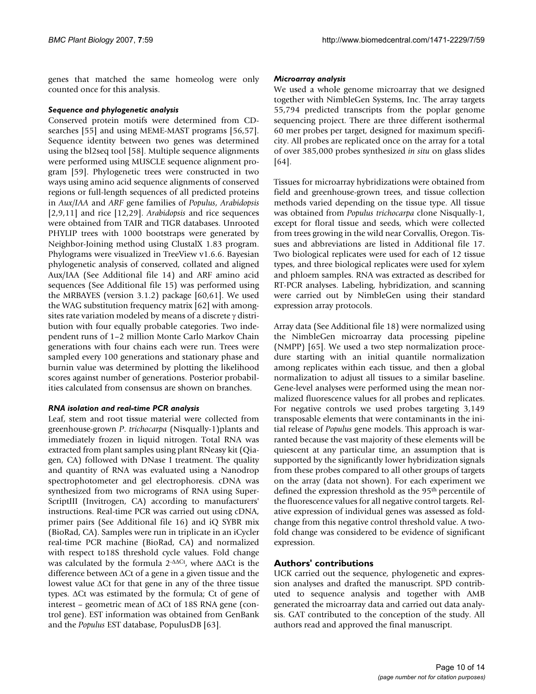genes that matched the same homeolog were only counted once for this analysis.

#### *Sequence and phylogenetic analysis*

Conserved protein motifs were determined from CDsearches [55] and using MEME-MAST programs [56,57]. Sequence identity between two genes was determined using the bl2seq tool [58]. Multiple sequence alignments were performed using MUSCLE sequence alignment program [59]. Phylogenetic trees were constructed in two ways using amino acid sequence alignments of conserved regions or full-length sequences of all predicted proteins in *Aux/IAA* and *ARF* gene families of *Populus*, *Arabidopsis* [2,9,11] and rice [12,29]. *Arabidopsis* and rice sequences were obtained from TAIR and TIGR databases. Unrooted PHYLIP trees with 1000 bootstraps were generated by Neighbor-Joining method using ClustalX 1.83 program. Phylograms were visualized in TreeView v1.6.6. Bayesian phylogenetic analysis of conserved, collated and aligned Aux/IAA (See Additional file 14) and ARF amino acid sequences (See Additional file 15) was performed using the MRBAYES (version 3.1.2) package [60,61]. We used the WAG substitution frequency matrix [62] with amongsites rate variation modeled by means of a discrete γ distribution with four equally probable categories. Two independent runs of 1–2 million Monte Carlo Markov Chain generations with four chains each were run. Trees were sampled every 100 generations and stationary phase and burnin value was determined by plotting the likelihood scores against number of generations. Posterior probabilities calculated from consensus are shown on branches.

#### *RNA isolation and real-time PCR analysis*

Leaf, stem and root tissue material were collected from greenhouse-grown *P*. *trichocarpa* (Nisqually-1)plants and immediately frozen in liquid nitrogen. Total RNA was extracted from plant samples using plant RNeasy kit (Qiagen, CA) followed with DNase I treatment. The quality and quantity of RNA was evaluated using a Nanodrop spectrophotometer and gel electrophoresis. cDNA was synthesized from two micrograms of RNA using Super-ScriptIII (Invitrogen, CA) according to manufacturers' instructions. Real-time PCR was carried out using cDNA, primer pairs (See Additional file 16) and iQ SYBR mix (BioRad, CA). Samples were run in triplicate in an iCycler real-time PCR machine (BioRad, CA) and normalized with respect to18S threshold cycle values. Fold change was calculated by the formula  $2$ - $\Delta\Delta$ Ct, where  $\Delta\Delta$ Ct is the difference between ΔCt of a gene in a given tissue and the lowest value ΔCt for that gene in any of the three tissue types. ΔCt was estimated by the formula; Ct of gene of interest – geometric mean of ΔCt of 18S RNA gene (control gene). EST information was obtained from GenBank and the *Populus* EST database, PopulusDB [63].

#### *Microarray analysis*

We used a whole genome microarray that we designed together with NimbleGen Systems, Inc. The array targets 55,794 predicted transcripts from the poplar genome sequencing project. There are three different isothermal 60 mer probes per target, designed for maximum specificity. All probes are replicated once on the array for a total of over 385,000 probes synthesized *in situ* on glass slides [64].

Tissues for microarray hybridizations were obtained from field and greenhouse-grown trees, and tissue collection methods varied depending on the tissue type. All tissue was obtained from *Populus trichocarpa* clone Nisqually-1, except for floral tissue and seeds, which were collected from trees growing in the wild near Corvallis, Oregon. Tissues and abbreviations are listed in Additional file 17. Two biological replicates were used for each of 12 tissue types, and three biological replicates were used for xylem and phloem samples. RNA was extracted as described for RT-PCR analyses. Labeling, hybridization, and scanning were carried out by NimbleGen using their standard expression array protocols.

Array data (See Additional file 18) were normalized using the NimbleGen microarray data processing pipeline (NMPP) [65]. We used a two step normalization procedure starting with an initial quantile normalization among replicates within each tissue, and then a global normalization to adjust all tissues to a similar baseline. Gene-level analyses were performed using the mean normalized fluorescence values for all probes and replicates. For negative controls we used probes targeting 3,149 transposable elements that were contaminants in the initial release of *Populus* gene models. This approach is warranted because the vast majority of these elements will be quiescent at any particular time, an assumption that is supported by the significantly lower hybridization signals from these probes compared to all other groups of targets on the array (data not shown). For each experiment we defined the expression threshold as the 95<sup>th</sup> percentile of the fluorescence values for all negative control targets. Relative expression of individual genes was assessed as foldchange from this negative control threshold value. A twofold change was considered to be evidence of significant expression.

#### **Authors' contributions**

UCK carried out the sequence, phylogenetic and expression analyses and drafted the manuscript. SPD contributed to sequence analysis and together with AMB generated the microarray data and carried out data analysis. GAT contributed to the conception of the study. All authors read and approved the final manuscript.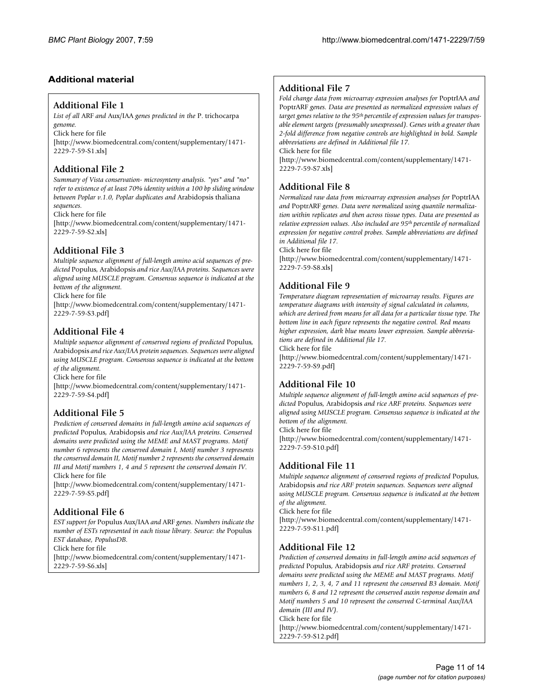# **Additional material**

#### **Additional File 1**

*List of all* ARF *and* Aux/IAA *genes predicted in the* P. trichocarpa *genome.*

Click here for file

[\[http://www.biomedcentral.com/content/supplementary/1471-](http://www.biomedcentral.com/content/supplementary/1471-2229-7-59-S1.xls) 2229-7-59-S1.xls]

# **Additional File 2**

*Summary of Vista conservation- microsynteny analysis. "yes" and "no" refer to existence of at least 70% identity within a 100 bp sliding window between Poplar v.1.0, Poplar duplicates and* Arabidopsis thaliana *sequences.*

Click here for file

[\[http://www.biomedcentral.com/content/supplementary/1471-](http://www.biomedcentral.com/content/supplementary/1471-2229-7-59-S2.xls) 2229-7-59-S2.xls]

# **Additional File 3**

*Multiple sequence alignment of full-length amino acid sequences of predicted* Populus*,* Arabidopsis *and rice Aux/IAA proteins. Sequences were aligned using MUSCLE program. Consensus sequence is indicated at the bottom of the alignment.*

Click here for file

[\[http://www.biomedcentral.com/content/supplementary/1471-](http://www.biomedcentral.com/content/supplementary/1471-2229-7-59-S3.pdf) 2229-7-59-S3.pdf]

# **Additional File 4**

*Multiple sequence alignment of conserved regions of predicted* Populus*,*  Arabidopsis *and rice Aux/IAA protein sequences. Sequences were aligned using MUSCLE program. Consensus sequence is indicated at the bottom of the alignment.*

Click here for file

[\[http://www.biomedcentral.com/content/supplementary/1471-](http://www.biomedcentral.com/content/supplementary/1471-2229-7-59-S4.pdf) 2229-7-59-S4.pdf]

# **Additional File 5**

*Prediction of conserved domains in full-length amino acid sequences of predicted* Populus*,* Arabidopsis *and rice Aux/IAA proteins. Conserved domains were predicted using the MEME and MAST programs. Motif number 6 represents the conserved domain I, Motif number 3 represents the conserved domain II, Motif number 2 represents the conserved domain III and Motif numbers 1, 4 and 5 represent the conserved domain IV.* Click here for file

[\[http://www.biomedcentral.com/content/supplementary/1471-](http://www.biomedcentral.com/content/supplementary/1471-2229-7-59-S5.pdf) 2229-7-59-S5.pdf]

# **Additional File 6**

*EST support for* Populus Aux/IAA *and* ARF *genes. Numbers indicate the number of ESTs represented in each tissue library. Source: the* Populus *EST database, PopulusDB.*

Click here for file

[\[http://www.biomedcentral.com/content/supplementary/1471-](http://www.biomedcentral.com/content/supplementary/1471-2229-7-59-S6.xls) 2229-7-59-S6.xls]

# **Additional File 7**

*Fold change data from microarray expression analyses for* PoptrIAA *and*  PoptrARF *genes. Data are presented as normalized expression values of target genes relative to the 95th percentile of expression values for transposable element targets (presumably unexpressed). Genes with a greater than 2-fold difference from negative controls are highlighted in bold. Sample abbreviations are defined in Additional file 17.*

Click here for file

[\[http://www.biomedcentral.com/content/supplementary/1471-](http://www.biomedcentral.com/content/supplementary/1471-2229-7-59-S7.xls) 2229-7-59-S7.xls]

#### **Additional File 8**

*Normalized raw data from microarray expression analyses for* PoptrIAA *and* PoptrARF *genes. Data were normalized using quantile normalization within replicates and then across tissue types. Data are presented as relative expression values. Also included are 95th percentile of normalized expression for negative control probes. Sample abbreviations are defined in Additional file 17.*

Click here for file

[\[http://www.biomedcentral.com/content/supplementary/1471-](http://www.biomedcentral.com/content/supplementary/1471-2229-7-59-S8.xls) 2229-7-59-S8.xls]

# **Additional File 9**

*Temperature diagram representation of microarray results. Figures are temperature diagrams with intensity of signal calculated in columns, which are derived from means for all data for a particular tissue type. The bottom line in each figure represents the negative control. Red means higher expression, dark blue means lower expression. Sample abbreviations are defined in Additional file 17.*

Click here for file

[\[http://www.biomedcentral.com/content/supplementary/1471-](http://www.biomedcentral.com/content/supplementary/1471-2229-7-59-S9.pdf) 2229-7-59-S9.pdf]

# **Additional File 10**

*Multiple sequence alignment of full-length amino acid sequences of predicted* Populus*,* Arabidopsis *and rice ARF proteins. Sequences were aligned using MUSCLE program. Consensus sequence is indicated at the bottom of the alignment.*

Click here for file

[\[http://www.biomedcentral.com/content/supplementary/1471-](http://www.biomedcentral.com/content/supplementary/1471-2229-7-59-S10.pdf) 2229-7-59-S10.pdf]

# **Additional File 11**

*Multiple sequence alignment of conserved regions of predicted* Populus*,*  Arabidopsis *and rice ARF protein sequences. Sequences were aligned using MUSCLE program. Consensus sequence is indicated at the bottom of the alignment.*

Click here for file

[\[http://www.biomedcentral.com/content/supplementary/1471-](http://www.biomedcentral.com/content/supplementary/1471-2229-7-59-S11.pdf) 2229-7-59-S11.pdf]

# **Additional File 12**

*Prediction of conserved domains in full-length amino acid sequences of predicted* Populus*,* Arabidopsis *and rice ARF proteins. Conserved domains were predicted using the MEME and MAST programs. Motif numbers 1, 2, 3, 4, 7 and 11 represent the conserved B3 domain. Motif numbers 6, 8 and 12 represent the conserved auxin response domain and Motif numbers 5 and 10 represent the conserved C-terminal Aux/IAA domain (III and IV).*

Click here for file

[\[http://www.biomedcentral.com/content/supplementary/1471-](http://www.biomedcentral.com/content/supplementary/1471-2229-7-59-S12.pdf) 2229-7-59-S12.pdf]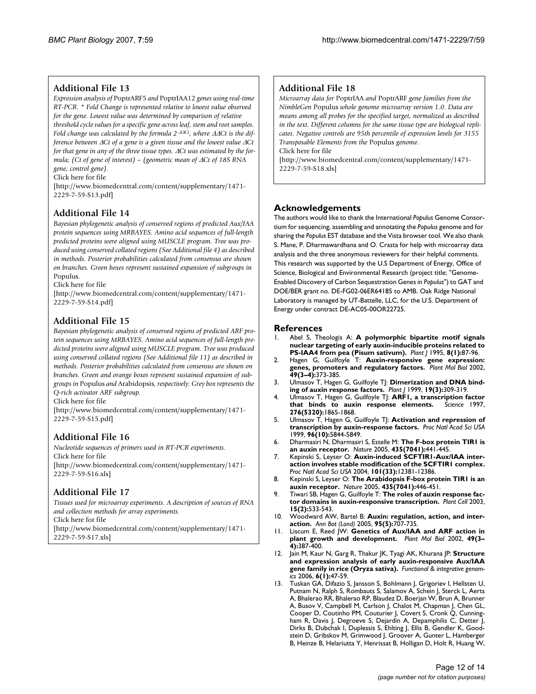### **Additional File 13**

*Expression analysis of* PoptrARF5 *and* PoptrIAA12 *genes using real-time RT-PCR. \* Fold Change is represented relative to lowest value observed for the gene. Lowest value was determined by comparison of relative threshold cycle values for a specific gene across leaf, stem and root samples. Fold change was calculated by the formula 2-*ΔΔ*Ct, where* ΔΔ*Ct is the difference between* Δ*Ct of a gene is a given tissue and the lowest value* Δ*Ct for that gene in any of the three tissue types.* Δ*Ct was estimated by the formula; (Ct of gene of interest) – (geometric mean of* Δ*Ct of 18S RNA gene, control gene).*

Click here for file

[\[http://www.biomedcentral.com/content/supplementary/1471-](http://www.biomedcentral.com/content/supplementary/1471-2229-7-59-S13.pdf) 2229-7-59-S13.pdf]

# **Additional File 14**

*Bayesian phylogenetic analysis of conserved regions of predicted Aux/IAA protein sequences using MRBAYES. Amino acid sequences of full-length predicted proteins were aligned using MUSCLE program. Tree was produced using conserved collated regions (See Additional file 4) as described in methods. Posterior probabilities calculated from consensus are shown on branches. Green boxes represent sustained expansion of subgroups in*  Populus*.*

Click here for file

[\[http://www.biomedcentral.com/content/supplementary/1471-](http://www.biomedcentral.com/content/supplementary/1471-2229-7-59-S14.pdf) 2229-7-59-S14.pdf]

#### **Additional File 15**

*Bayesian phylogenetic analysis of conserved regions of predicted ARF protein sequences using MRBAYES. Amino acid sequences of full-length predicted proteins were aligned using MUSCLE program. Tree was produced using conserved collated regions (See Additional file 11) as described in methods. Posterior probabilities calculated from consensus are shown on branches. Green and orange boxes represent sustained expansion of subgroups in* Populus *and* Arabidopsis*, respectively. Grey box represents the Q-rich activator ARF subgroup.*

Click here for file

[\[http://www.biomedcentral.com/content/supplementary/1471-](http://www.biomedcentral.com/content/supplementary/1471-2229-7-59-S15.pdf) 2229-7-59-S15.pdf]

#### **Additional File 16**

*Nucleotide sequences of primers used in RT-PCR experiments.* Click here for file [\[http://www.biomedcentral.com/content/supplementary/1471-](http://www.biomedcentral.com/content/supplementary/1471-2229-7-59-S16.xls) 2229-7-59-S16.xls]

#### **Additional File 17**

*Tissues used for microarray experiments. A description of sources of RNA and collection methods for array experiments.* Click here for file [\[http://www.biomedcentral.com/content/supplementary/1471-](http://www.biomedcentral.com/content/supplementary/1471-2229-7-59-S17.xls) 2229-7-59-S17.xls]

### **Additional File 18**

*Microarray data for* PoptrIAA *and* PoptrARF *gene families from the NimbleGen* Populus *whole genome microarray version 1.0. Data are means among all probes for the specified target, normalized as described in the text. Different columns for the same tissue type are biological replicates. Negative controls are 95th percentile of expression levels for 3155 Transposable Elements from the* Populus *genome.*

Click here for file

[\[http://www.biomedcentral.com/content/supplementary/1471-](http://www.biomedcentral.com/content/supplementary/1471-2229-7-59-S18.xls) 2229-7-59-S18.xls]

#### **Acknowledgements**

The authors would like to thank the International *Populus* Genome Consortium for sequencing, assembling and annotating the *Populus* genome and for sharing the *Populus* EST database and the Vista browser tool. We also thank S. Mane, P. Dharmawardhana and O. Crasta for help with microarray data analysis and the three anonymous reviewers for their helpful comments. This research was supported by the U.S Department of Energy, Office of Science, Biological and Environmental Research (project title; "Genome-Enabled Discovery of Carbon Sequestration Genes in *Populus*") to GAT and DOE/BER grant no. DE-FG02-06ER64185 to AMB. Oak Ridge National Laboratory is managed by UT-Battelle, LLC, for the U.S. Department of Energy under contract DE-AC05-00OR22725.

#### **References**

- 1. Abel S, Theologis A: **[A polymorphic bipartite motif signals](http://www.ncbi.nlm.nih.gov/entrez/query.fcgi?cmd=Retrieve&db=PubMed&dopt=Abstract&list_uids=7655509) [nuclear targeting of early auxin-inducible proteins related to](http://www.ncbi.nlm.nih.gov/entrez/query.fcgi?cmd=Retrieve&db=PubMed&dopt=Abstract&list_uids=7655509) [PS-IAA4 from pea \(Pisum sativum\).](http://www.ncbi.nlm.nih.gov/entrez/query.fcgi?cmd=Retrieve&db=PubMed&dopt=Abstract&list_uids=7655509)** *Plant J* 1995, **8(1):**87-96.
- 2. Hagen G, Guilfoyle T: **[Auxin-responsive gene expression:](http://www.ncbi.nlm.nih.gov/entrez/query.fcgi?cmd=Retrieve&db=PubMed&dopt=Abstract&list_uids=12036261) [genes, promoters and regulatory factors.](http://www.ncbi.nlm.nih.gov/entrez/query.fcgi?cmd=Retrieve&db=PubMed&dopt=Abstract&list_uids=12036261)** *Plant Mol Biol* 2002, **49(3–4):**373-385.
- 3. Ulmasov T, Hagen G, Guilfoyle TJ: [Dimerization and DNA bind](http://www.ncbi.nlm.nih.gov/entrez/query.fcgi?cmd=Retrieve&db=PubMed&dopt=Abstract&list_uids=10476078)**[ing of auxin response factors.](http://www.ncbi.nlm.nih.gov/entrez/query.fcgi?cmd=Retrieve&db=PubMed&dopt=Abstract&list_uids=10476078)** *Plant J* 1999, **19(3):**309-319.
- 4. Ulmasov T, Hagen G, Guilfoyle TJ: **[ARF1, a transcription factor](http://www.ncbi.nlm.nih.gov/entrez/query.fcgi?cmd=Retrieve&db=PubMed&dopt=Abstract&list_uids=9188533)** [that binds to auxin response elements.](http://www.ncbi.nlm.nih.gov/entrez/query.fcgi?cmd=Retrieve&db=PubMed&dopt=Abstract&list_uids=9188533) **276(5320):**1865-1868.
- 5. Ulmasov T, Hagen G, Guilfoyle TJ: **[Activation and repression of](http://www.ncbi.nlm.nih.gov/entrez/query.fcgi?cmd=Retrieve&db=PubMed&dopt=Abstract&list_uids=10318972) [transcription by auxin-response factors.](http://www.ncbi.nlm.nih.gov/entrez/query.fcgi?cmd=Retrieve&db=PubMed&dopt=Abstract&list_uids=10318972)** *Proc Natl Acad Sci USA* 1999, **96(10):**5844-5849.
- 6. Dharmasiri N, Dharmasiri S, Estelle M: **[The F-box protein TIR1 is](http://www.ncbi.nlm.nih.gov/entrez/query.fcgi?cmd=Retrieve&db=PubMed&dopt=Abstract&list_uids=15917797) [an auxin receptor.](http://www.ncbi.nlm.nih.gov/entrez/query.fcgi?cmd=Retrieve&db=PubMed&dopt=Abstract&list_uids=15917797)** *Nature* 2005, **435(7041):**441-445.
- 7. Kepinski S, Leyser O: **[Auxin-induced SCFTIR1-Aux/IAA inter](http://www.ncbi.nlm.nih.gov/entrez/query.fcgi?cmd=Retrieve&db=PubMed&dopt=Abstract&list_uids=15295098)[action involves stable modification of the SCFTIR1 complex.](http://www.ncbi.nlm.nih.gov/entrez/query.fcgi?cmd=Retrieve&db=PubMed&dopt=Abstract&list_uids=15295098)** *Proc Natl Acad Sci USA* 2004, **101(33):**12381-12386.
- 8. Kepinski S, Leyser O: **[The Arabidopsis F-box protein TIR1 is an](http://www.ncbi.nlm.nih.gov/entrez/query.fcgi?cmd=Retrieve&db=PubMed&dopt=Abstract&list_uids=15917798) [auxin receptor.](http://www.ncbi.nlm.nih.gov/entrez/query.fcgi?cmd=Retrieve&db=PubMed&dopt=Abstract&list_uids=15917798)** *Nature* 2005, **435(7041):**446-451.
- 9. Tiwari SB, Hagen G, Guilfoyle T: **[The roles of auxin response fac](http://www.ncbi.nlm.nih.gov/entrez/query.fcgi?cmd=Retrieve&db=PubMed&dopt=Abstract&list_uids=12566590)[tor domains in auxin-responsive transcription.](http://www.ncbi.nlm.nih.gov/entrez/query.fcgi?cmd=Retrieve&db=PubMed&dopt=Abstract&list_uids=12566590)** *Plant Cell* 2003, **15(2):**533-543.
- 10. Woodward AW, Bartel B: **[Auxin: regulation, action, and inter](http://www.ncbi.nlm.nih.gov/entrez/query.fcgi?cmd=Retrieve&db=PubMed&dopt=Abstract&list_uids=15749753)[action.](http://www.ncbi.nlm.nih.gov/entrez/query.fcgi?cmd=Retrieve&db=PubMed&dopt=Abstract&list_uids=15749753)** *Ann Bot (Lond)* 2005, **95(5):**707-735.
- 11. Liscum E, Reed JW: **[Genetics of Aux/IAA and ARF action in](http://www.ncbi.nlm.nih.gov/entrez/query.fcgi?cmd=Retrieve&db=PubMed&dopt=Abstract&list_uids=12036262) [plant growth and development.](http://www.ncbi.nlm.nih.gov/entrez/query.fcgi?cmd=Retrieve&db=PubMed&dopt=Abstract&list_uids=12036262)** *Plant Mol Biol* 2002, **49(3– 4):**387-400.
- 12. Jain M, Kaur N, Garg R, Thakur JK, Tyagi AK, Khurana JP: **[Structure](http://www.ncbi.nlm.nih.gov/entrez/query.fcgi?cmd=Retrieve&db=PubMed&dopt=Abstract&list_uids=16200395) [and expression analysis of early auxin-responsive Aux/IAA](http://www.ncbi.nlm.nih.gov/entrez/query.fcgi?cmd=Retrieve&db=PubMed&dopt=Abstract&list_uids=16200395) [gene family in rice \(Oryza sativa\).](http://www.ncbi.nlm.nih.gov/entrez/query.fcgi?cmd=Retrieve&db=PubMed&dopt=Abstract&list_uids=16200395)** *Functional & integrative genomics* 2006, **6(1):**47-59.
- 13. Tuskan GA, Difazio S, Jansson S, Bohlmann J, Grigoriev I, Hellsten U, Putnam N, Ralph S, Rombauts S, Salamov A, Schein J, Sterck L, Aerts A, Bhalerao RR, Bhalerao RP, Blaudez D, Boerjan W, Brun A, Brunner A, Busov V, Campbell M, Carlson J, Chalot M, Chapman J, Chen GL, Cooper D, Coutinho PM, Couturier J, Covert S, Cronk Q, Cunningham R, Davis J, Degroeve S, Dejardin A, Depamphilis C, Detter J, Dirks B, Dubchak I, Duplessis S, Ehlting J, Ellis B, Gendler K, Goodstein D, Gribskov M, Grimwood J, Groover A, Gunter L, Hamberger B, Heinze B, Helariutta Y, Henrissat B, Holligan D, Holt R, Huang W,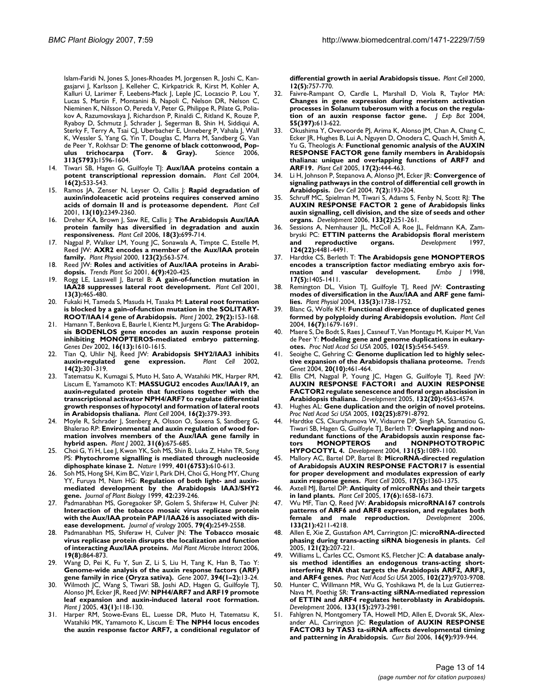Islam-Faridi N, Jones S, Jones-Rhoades M, Jorgensen R, Joshi C, Kangasjarvi J, Karlsson J, Kelleher C, Kirkpatrick R, Kirst M, Kohler A Kalluri U, Larimer F, Leebens-Mack J, Leple JC, Locascio P, Lou Y, Lucas S, Martin F, Montanini B, Napoli C, Nelson DR, Nelson C, Nieminen K, Nilsson O, Pereda V, Peter G, Philippe R, Pilate G, Poliakov A, Razumovskaya J, Richardson P, Rinaldi C, Ritland K, Rouze P, Ryaboy D, Schmutz J, Schrader J, Segerman B, Shin H, Siddiqui A, Sterky F, Terry A, Tsai CJ, Uberbacher E, Unneberg P, Vahala J, Wall K, Wessler S, Yang G, Yin T, Douglas C, Marra M, Sandberg G, Van de Peer Y, Rokhsar D: **The genome of black cottonwood, Pop-<br>
<b>ulus trichocarpa** (Torr. & Grav). Science 2006. [ulus trichocarpa \(Torr. & Gray\).](http://www.ncbi.nlm.nih.gov/entrez/query.fcgi?cmd=Retrieve&db=PubMed&dopt=Abstract&list_uids=16973872) **313(5793):**1596-1604.

- 14. Tiwari SB, Hagen G, Guilfoyle T|: [Aux/IAA proteins contain a](http://www.ncbi.nlm.nih.gov/entrez/query.fcgi?cmd=Retrieve&db=PubMed&dopt=Abstract&list_uids=14742873) **[potent transcriptional repression domain.](http://www.ncbi.nlm.nih.gov/entrez/query.fcgi?cmd=Retrieve&db=PubMed&dopt=Abstract&list_uids=14742873)** *Plant Cell* 2004, **16(2):**533-543.
- 15. Ramos JA, Zenser N, Leyser O, Callis J: **[Rapid degradation of](http://www.ncbi.nlm.nih.gov/entrez/query.fcgi?cmd=Retrieve&db=PubMed&dopt=Abstract&list_uids=11595806) [auxin/indoleacetic acid proteins requires conserved amino](http://www.ncbi.nlm.nih.gov/entrez/query.fcgi?cmd=Retrieve&db=PubMed&dopt=Abstract&list_uids=11595806) [acids of domain II and is proteasome dependent.](http://www.ncbi.nlm.nih.gov/entrez/query.fcgi?cmd=Retrieve&db=PubMed&dopt=Abstract&list_uids=11595806)** *Plant Cell* 2001, **13(10):**2349-2360.
- 16. Dreher KA, Brown J, Saw RE, Callis J: **[The Arabidopsis Aux/IAA](http://www.ncbi.nlm.nih.gov/entrez/query.fcgi?cmd=Retrieve&db=PubMed&dopt=Abstract&list_uids=16489122) [protein family has diversified in degradation and auxin](http://www.ncbi.nlm.nih.gov/entrez/query.fcgi?cmd=Retrieve&db=PubMed&dopt=Abstract&list_uids=16489122) [responsiveness.](http://www.ncbi.nlm.nih.gov/entrez/query.fcgi?cmd=Retrieve&db=PubMed&dopt=Abstract&list_uids=16489122)** *Plant Cell* 2006, **18(3):**699-714.
- 17. Nagpal P, Walker LM, Young JC, Sonawala A, Timpte C, Estelle M, Reed JW: **[AXR2 encodes a member of the Aux/IAA protein](http://www.ncbi.nlm.nih.gov/entrez/query.fcgi?cmd=Retrieve&db=PubMed&dopt=Abstract&list_uids=10859186) [family.](http://www.ncbi.nlm.nih.gov/entrez/query.fcgi?cmd=Retrieve&db=PubMed&dopt=Abstract&list_uids=10859186)** *Plant Physiol* 2000, **123(2):**563-574.
- Reed JW: [Roles and activities of Aux/IAA proteins in Arabi](http://www.ncbi.nlm.nih.gov/entrez/query.fcgi?cmd=Retrieve&db=PubMed&dopt=Abstract&list_uids=11544131)**[dopsis.](http://www.ncbi.nlm.nih.gov/entrez/query.fcgi?cmd=Retrieve&db=PubMed&dopt=Abstract&list_uids=11544131)** *Trends Plant Sci* 2001, **6(9):**420-425.
- 19. Rogg LE, Lasswell J, Bartel B: **[A gain-of-function mutation in](http://www.ncbi.nlm.nih.gov/entrez/query.fcgi?cmd=Retrieve&db=PubMed&dopt=Abstract&list_uids=11251090) [IAA28 suppresses lateral root development.](http://www.ncbi.nlm.nih.gov/entrez/query.fcgi?cmd=Retrieve&db=PubMed&dopt=Abstract&list_uids=11251090)** *Plant Cell* 2001, **13(3):**465-480.
- 20. Fukaki H, Tameda S, Masuda H, Tasaka M: **[Lateral root formation](http://www.ncbi.nlm.nih.gov/entrez/query.fcgi?cmd=Retrieve&db=PubMed&dopt=Abstract&list_uids=11862947) [is blocked by a gain-of-function mutation in the SOLITARY-](http://www.ncbi.nlm.nih.gov/entrez/query.fcgi?cmd=Retrieve&db=PubMed&dopt=Abstract&list_uids=11862947)[ROOT/IAA14 gene of Arabidopsis.](http://www.ncbi.nlm.nih.gov/entrez/query.fcgi?cmd=Retrieve&db=PubMed&dopt=Abstract&list_uids=11862947)** *Plant J* 2002, **29(2):**153-168.
- 21. Hamann T, Benkova E, Baurle I, Kientz M, Jurgens G: **[The Arabidop](http://www.ncbi.nlm.nih.gov/entrez/query.fcgi?cmd=Retrieve&db=PubMed&dopt=Abstract&list_uids=12101120)[sis BODENLOS gene encodes an auxin response protein](http://www.ncbi.nlm.nih.gov/entrez/query.fcgi?cmd=Retrieve&db=PubMed&dopt=Abstract&list_uids=12101120) inhibiting MONOPTEROS-mediated embryo patterning.** *Genes Dev* 2002, **16(13):**1610-1615.
- 22. Tian Q, Uhlir NJ, Reed JW: **[Arabidopsis SHY2/IAA3 inhibits](http://www.ncbi.nlm.nih.gov/entrez/query.fcgi?cmd=Retrieve&db=PubMed&dopt=Abstract&list_uids=11884676) [auxin-regulated gene expression.](http://www.ncbi.nlm.nih.gov/entrez/query.fcgi?cmd=Retrieve&db=PubMed&dopt=Abstract&list_uids=11884676)** *Plant Cell* 2002, **14(2):**301-319.
- 23. Tatematsu K, Kumagai S, Muto H, Sato A, Watahiki MK, Harper RM, Liscum E, Yamamoto KT: **[MASSUGU2 encodes Aux/IAA19, an](http://www.ncbi.nlm.nih.gov/entrez/query.fcgi?cmd=Retrieve&db=PubMed&dopt=Abstract&list_uids=14729917) [auxin-regulated protein that functions together with the](http://www.ncbi.nlm.nih.gov/entrez/query.fcgi?cmd=Retrieve&db=PubMed&dopt=Abstract&list_uids=14729917) transcriptional activator NPH4/ARF7 to regulate differential growth responses of hypocotyl and formation of lateral roots [in Arabidopsis thaliana.](http://www.ncbi.nlm.nih.gov/entrez/query.fcgi?cmd=Retrieve&db=PubMed&dopt=Abstract&list_uids=14729917)** *Plant Cell* 2004, **16(2):**379-393.
- 24. Moyle R, Schrader J, Stenberg A, Olsson O, Saxena S, Sandberg G, Bhalerao RP: **[Environmental and auxin regulation of wood for](http://www.ncbi.nlm.nih.gov/entrez/query.fcgi?cmd=Retrieve&db=PubMed&dopt=Abstract&list_uids=12220260)[mation involves members of the Aux/IAA gene family in](http://www.ncbi.nlm.nih.gov/entrez/query.fcgi?cmd=Retrieve&db=PubMed&dopt=Abstract&list_uids=12220260) [hybrid aspen.](http://www.ncbi.nlm.nih.gov/entrez/query.fcgi?cmd=Retrieve&db=PubMed&dopt=Abstract&list_uids=12220260)** *Plant J* 2002, **31(6):**675-685.
- 25. Choi G, Yi H, Lee J, Kwon YK, Soh MS, Shin B, Luka Z, Hahn TR, Song PS: **[Phytochrome signalling is mediated through nucleoside](http://www.ncbi.nlm.nih.gov/entrez/query.fcgi?cmd=Retrieve&db=PubMed&dopt=Abstract&list_uids=10524631) [diphosphate kinase 2.](http://www.ncbi.nlm.nih.gov/entrez/query.fcgi?cmd=Retrieve&db=PubMed&dopt=Abstract&list_uids=10524631)** *Nature* 1999, **401(6753):**610-613.
- 26. Soh MS, Hong SH, Kim BC, Vizir I, Park DH, Choi G, Hong MY, Chung YY, Furuya M, Nam HG: **Regulation of both light- and auxinmediated development by the Arabidopsis IAA3/SHY2 gene.** *Journal of Plant Biology* 1999, **42:**239-246.
- 27. Padmanabhan MS, Goregaoker SP, Golem S, Shiferaw H, Culver JN: **[Interaction of the tobacco mosaic virus replicase protein](http://www.ncbi.nlm.nih.gov/entrez/query.fcgi?cmd=Retrieve&db=PubMed&dopt=Abstract&list_uids=15681455) with the Aux/IAA protein PAP1/IAA26 is associated with dis[ease development.](http://www.ncbi.nlm.nih.gov/entrez/query.fcgi?cmd=Retrieve&db=PubMed&dopt=Abstract&list_uids=15681455)** *Journal of virology* 2005, **79(4):**2549-2558.
- 28. Padmanabhan MS, Shiferaw H, Culver JN: **[The Tobacco mosaic](http://www.ncbi.nlm.nih.gov/entrez/query.fcgi?cmd=Retrieve&db=PubMed&dopt=Abstract&list_uids=16903352) [virus replicase protein disrupts the localization and function](http://www.ncbi.nlm.nih.gov/entrez/query.fcgi?cmd=Retrieve&db=PubMed&dopt=Abstract&list_uids=16903352) [of interacting Aux/IAA proteins.](http://www.ncbi.nlm.nih.gov/entrez/query.fcgi?cmd=Retrieve&db=PubMed&dopt=Abstract&list_uids=16903352)** *Mol Plant Microbe Interact* 2006, **19(8):**864-873.
- 29. Wang D, Pei K, Fu Y, Sun Z, Li S, Liu H, Tang K, Han B, Tao Y: **[Genome-wide analysis of the auxin response factors \(ARF\)](http://www.ncbi.nlm.nih.gov/entrez/query.fcgi?cmd=Retrieve&db=PubMed&dopt=Abstract&list_uids=17408882) [gene family in rice \(Oryza sativa\).](http://www.ncbi.nlm.nih.gov/entrez/query.fcgi?cmd=Retrieve&db=PubMed&dopt=Abstract&list_uids=17408882)** *Gene* 2007, **394(1–2):**13-24.
- 30. Wilmoth JC, Wang S, Tiwari SB, Joshi AD, Hagen G, Guilfoyle TJ, Alonso JM, Ecker JR, Reed JW: **[NPH4/ARF7 and ARF19 promote](http://www.ncbi.nlm.nih.gov/entrez/query.fcgi?cmd=Retrieve&db=PubMed&dopt=Abstract&list_uids=15960621) [leaf expansion and auxin-induced lateral root formation.](http://www.ncbi.nlm.nih.gov/entrez/query.fcgi?cmd=Retrieve&db=PubMed&dopt=Abstract&list_uids=15960621)** *Plant J* 2005, **43(1):**118-130.
- Harper RM, Stowe-Evans EL, Luesse DR, Muto H, Tatematsu K, Watahiki MK, Yamamoto K, Liscum E: **[The NPH4 locus encodes](http://www.ncbi.nlm.nih.gov/entrez/query.fcgi?cmd=Retrieve&db=PubMed&dopt=Abstract&list_uids=10810148) [the auxin response factor ARF7, a conditional regulator of](http://www.ncbi.nlm.nih.gov/entrez/query.fcgi?cmd=Retrieve&db=PubMed&dopt=Abstract&list_uids=10810148)**

**[differential growth in aerial Arabidopsis tissue.](http://www.ncbi.nlm.nih.gov/entrez/query.fcgi?cmd=Retrieve&db=PubMed&dopt=Abstract&list_uids=10810148)** *Plant Cell* 2000, **12(5):**757-770.

- 32. Faivre-Rampant O, Cardle L, Marshall D, Viola R, Taylor MA: **[Changes in gene expression during meristem activation](http://www.ncbi.nlm.nih.gov/entrez/query.fcgi?cmd=Retrieve&db=PubMed&dopt=Abstract&list_uids=14966214) processes in Solanum tuberosum with a focus on the regula[tion of an auxin response factor gene.](http://www.ncbi.nlm.nih.gov/entrez/query.fcgi?cmd=Retrieve&db=PubMed&dopt=Abstract&list_uids=14966214)** *J Exp Bot* 2004, **55(397):**613-622.
- Okushima Y, Overvoorde PJ, Arima K, Alonso JM, Chan A, Chang C, Ecker JR, Hughes B, Lui A, Nguyen D, Onodera C, Quach H, Smith A, Yu G, Theologis A: **[Functional genomic analysis of the AUXIN](http://www.ncbi.nlm.nih.gov/entrez/query.fcgi?cmd=Retrieve&db=PubMed&dopt=Abstract&list_uids=15659631) [RESPONSE FACTOR gene family members in Arabidopsis](http://www.ncbi.nlm.nih.gov/entrez/query.fcgi?cmd=Retrieve&db=PubMed&dopt=Abstract&list_uids=15659631) thaliana: unique and overlapping functions of ARF7 and [ARF19.](http://www.ncbi.nlm.nih.gov/entrez/query.fcgi?cmd=Retrieve&db=PubMed&dopt=Abstract&list_uids=15659631)** *Plant Cell* 2005, **17(2):**444-463.
- 34. Li H, Johnson P, Stepanova A, Alonso JM, Ecker JR: **[Convergence of](http://www.ncbi.nlm.nih.gov/entrez/query.fcgi?cmd=Retrieve&db=PubMed&dopt=Abstract&list_uids=15296716) [signaling pathways in the control of differential cell growth in](http://www.ncbi.nlm.nih.gov/entrez/query.fcgi?cmd=Retrieve&db=PubMed&dopt=Abstract&list_uids=15296716) [Arabidopsis.](http://www.ncbi.nlm.nih.gov/entrez/query.fcgi?cmd=Retrieve&db=PubMed&dopt=Abstract&list_uids=15296716)** *Dev Cell* 2004, **7(2):**193-204.
- 35. Schruff MC, Spielman M, Tiwari S, Adams S, Fenby N, Scott RJ: **[The](http://www.ncbi.nlm.nih.gov/entrez/query.fcgi?cmd=Retrieve&db=PubMed&dopt=Abstract&list_uids=16339187) [AUXIN RESPONSE FACTOR 2 gene of Arabidopsis links](http://www.ncbi.nlm.nih.gov/entrez/query.fcgi?cmd=Retrieve&db=PubMed&dopt=Abstract&list_uids=16339187) auxin signalling, cell division, and the size of seeds and other [organs.](http://www.ncbi.nlm.nih.gov/entrez/query.fcgi?cmd=Retrieve&db=PubMed&dopt=Abstract&list_uids=16339187)** *Development* 2006, **133(2):**251-261.
- 36. Sessions A, Nemhauser JL, McColl A, Roe JL, Feldmann KA, Zambryski PC: **[ETTIN patterns the Arabidopsis floral meristem](http://www.ncbi.nlm.nih.gov/entrez/query.fcgi?cmd=Retrieve&db=PubMed&dopt=Abstract&list_uids=9409666)** reproductive organs. **124(22):**4481-4491.
- 37. Hardtke CS, Berleth T: **[The Arabidopsis gene MONOPTEROS](http://www.ncbi.nlm.nih.gov/entrez/query.fcgi?cmd=Retrieve&db=PubMed&dopt=Abstract&list_uids=9482737)** encodes a transcription factor mediating embryo axis for-<br>mation and vascular development. Embo | 1998, [mation and vascular development.](http://www.ncbi.nlm.nih.gov/entrez/query.fcgi?cmd=Retrieve&db=PubMed&dopt=Abstract&list_uids=9482737) **17(5):**1405-1411.
- 38. Remington DL, Vision TJ, Guilfoyle TJ, Reed JW: **[Contrasting](http://www.ncbi.nlm.nih.gov/entrez/query.fcgi?cmd=Retrieve&db=PubMed&dopt=Abstract&list_uids=15247399) [modes of diversification in the Aux/IAA and ARF gene fami](http://www.ncbi.nlm.nih.gov/entrez/query.fcgi?cmd=Retrieve&db=PubMed&dopt=Abstract&list_uids=15247399)[lies.](http://www.ncbi.nlm.nih.gov/entrez/query.fcgi?cmd=Retrieve&db=PubMed&dopt=Abstract&list_uids=15247399)** *Plant Physiol* 2004, **135(3):**1738-1752.
- 39. Blanc G, Wolfe KH: **[Functional divergence of duplicated genes](http://www.ncbi.nlm.nih.gov/entrez/query.fcgi?cmd=Retrieve&db=PubMed&dopt=Abstract&list_uids=15208398) [formed by polyploidy during Arabidopsis evolution.](http://www.ncbi.nlm.nih.gov/entrez/query.fcgi?cmd=Retrieve&db=PubMed&dopt=Abstract&list_uids=15208398)** *Plant Cell* 2004, **16(7):**1679-1691.
- 40. Maere S, De Bodt S, Raes J, Casneuf T, Van Montagu M, Kuiper M, Van de Peer Y: **[Modeling gene and genome duplications in eukary](http://www.ncbi.nlm.nih.gov/entrez/query.fcgi?cmd=Retrieve&db=PubMed&dopt=Abstract&list_uids=15800040)[otes.](http://www.ncbi.nlm.nih.gov/entrez/query.fcgi?cmd=Retrieve&db=PubMed&dopt=Abstract&list_uids=15800040)** *Proc Natl Acad Sci USA* 2005, **102(15):**5454-5459.
- 41. Seoighe C, Gehring C: **[Genome duplication led to highly selec](http://www.ncbi.nlm.nih.gov/entrez/query.fcgi?cmd=Retrieve&db=PubMed&dopt=Abstract&list_uids=15363896)[tive expansion of the Arabidopsis thaliana proteome.](http://www.ncbi.nlm.nih.gov/entrez/query.fcgi?cmd=Retrieve&db=PubMed&dopt=Abstract&list_uids=15363896)** *Trends Genet* 2004, **20(10):**461-464.
- 42. Ellis CM, Nagpal P, Young JC, Hagen G, Guilfoyle TJ, Reed JW: **[AUXIN RESPONSE FACTOR1 and AUXIN RESPONSE](http://www.ncbi.nlm.nih.gov/entrez/query.fcgi?cmd=Retrieve&db=PubMed&dopt=Abstract&list_uids=16176952) FACTOR2 regulate senescence and floral organ abscission in [Arabidopsis thaliana.](http://www.ncbi.nlm.nih.gov/entrez/query.fcgi?cmd=Retrieve&db=PubMed&dopt=Abstract&list_uids=16176952)** *Development* 2005, **132(20):**4563-4574.
- 43. Hughes AL: **[Gene duplication and the origin of novel proteins.](http://www.ncbi.nlm.nih.gov/entrez/query.fcgi?cmd=Retrieve&db=PubMed&dopt=Abstract&list_uids=15956198)** *Proc Natl Acad Sci USA* 2005, **102(25):**8791-8792.
- Hardtke CS, Ckurshumova W, Vidaurre DP, Singh SA, Stamatiou G, Tiwari SB, Hagen G, Guilfoyle TJ, Berleth T: **[Overlapping and non](http://www.ncbi.nlm.nih.gov/entrez/query.fcgi?cmd=Retrieve&db=PubMed&dopt=Abstract&list_uids=14973283)[redundant functions of the Arabidopsis auxin response fac](http://www.ncbi.nlm.nih.gov/entrez/query.fcgi?cmd=Retrieve&db=PubMed&dopt=Abstract&list_uids=14973283)tors MONOPTEROS and NONPHOTOTROPIC [HYPOCOTYL 4.](http://www.ncbi.nlm.nih.gov/entrez/query.fcgi?cmd=Retrieve&db=PubMed&dopt=Abstract&list_uids=14973283)** *Development* 2004, **131(5):**1089-1100.
- 45. Mallory AC, Bartel DP, Bartel B: **[MicroRNA-directed regulation](http://www.ncbi.nlm.nih.gov/entrez/query.fcgi?cmd=Retrieve&db=PubMed&dopt=Abstract&list_uids=15829600) [of Arabidopsis AUXIN RESPONSE FACTOR17 is essential](http://www.ncbi.nlm.nih.gov/entrez/query.fcgi?cmd=Retrieve&db=PubMed&dopt=Abstract&list_uids=15829600) for proper development and modulates expression of early [auxin response genes.](http://www.ncbi.nlm.nih.gov/entrez/query.fcgi?cmd=Retrieve&db=PubMed&dopt=Abstract&list_uids=15829600)** *Plant Cell* 2005, **17(5):**1360-1375.
- 46. Axtell MJ, Bartel DP: **[Antiquity of microRNAs and their targets](http://www.ncbi.nlm.nih.gov/entrez/query.fcgi?cmd=Retrieve&db=PubMed&dopt=Abstract&list_uids=15849273) [in land plants.](http://www.ncbi.nlm.nih.gov/entrez/query.fcgi?cmd=Retrieve&db=PubMed&dopt=Abstract&list_uids=15849273)** *Plant Cell* 2005, **17(6):**1658-1673.
- 47. Wu MF, Tian Q, Reed JW: **[Arabidopsis microRNA167 controls](http://www.ncbi.nlm.nih.gov/entrez/query.fcgi?cmd=Retrieve&db=PubMed&dopt=Abstract&list_uids=17021043) [patterns of ARF6 and ARF8 expression, and regulates both](http://www.ncbi.nlm.nih.gov/entrez/query.fcgi?cmd=Retrieve&db=PubMed&dopt=Abstract&list_uids=17021043) [female and male reproduction.](http://www.ncbi.nlm.nih.gov/entrez/query.fcgi?cmd=Retrieve&db=PubMed&dopt=Abstract&list_uids=17021043)** *Development* 2006, **133(21):**4211-4218.
- 48. Allen E, Xie Z, Gustafson AM, Carrington JC: **[microRNA-directed](http://www.ncbi.nlm.nih.gov/entrez/query.fcgi?cmd=Retrieve&db=PubMed&dopt=Abstract&list_uids=15851028) [phasing during trans-acting siRNA biogenesis in plants.](http://www.ncbi.nlm.nih.gov/entrez/query.fcgi?cmd=Retrieve&db=PubMed&dopt=Abstract&list_uids=15851028)** *Cell* 2005, **121(2):**207-221.
- 49. Williams L, Carles CC, Osmont KS, Fletcher JC: **[A database analy](http://www.ncbi.nlm.nih.gov/entrez/query.fcgi?cmd=Retrieve&db=PubMed&dopt=Abstract&list_uids=15980147)[sis method identifies an endogenous trans-acting short](http://www.ncbi.nlm.nih.gov/entrez/query.fcgi?cmd=Retrieve&db=PubMed&dopt=Abstract&list_uids=15980147)interfering RNA that targets the Arabidopsis ARF2, ARF3, [and ARF4 genes.](http://www.ncbi.nlm.nih.gov/entrez/query.fcgi?cmd=Retrieve&db=PubMed&dopt=Abstract&list_uids=15980147)** *Proc Natl Acad Sci USA* 2005, **102(27):**9703-9708.
- Hunter C, Willmann MR, Wu G, Yoshikawa M, de la Luz Gutierrez-Nava M, Poethig SR: **[Trans-acting siRNA-mediated repression](http://www.ncbi.nlm.nih.gov/entrez/query.fcgi?cmd=Retrieve&db=PubMed&dopt=Abstract&list_uids=16818444) [of ETTIN and ARF4 regulates heteroblasty in Arabidopsis.](http://www.ncbi.nlm.nih.gov/entrez/query.fcgi?cmd=Retrieve&db=PubMed&dopt=Abstract&list_uids=16818444)** *Development* 2006, **133(15):**2973-2981.
- 51. Fahlgren N, Montgomery TA, Howell MD, Allen E, Dvorak SK, Alexander AL, Carrington **IC: [Regulation of AUXIN RESPONSE](http://www.ncbi.nlm.nih.gov/entrez/query.fcgi?cmd=Retrieve&db=PubMed&dopt=Abstract&list_uids=16682356) [FACTOR3 by TAS3 ta-siRNA affects developmental timing](http://www.ncbi.nlm.nih.gov/entrez/query.fcgi?cmd=Retrieve&db=PubMed&dopt=Abstract&list_uids=16682356) [and patterning in Arabidopsis.](http://www.ncbi.nlm.nih.gov/entrez/query.fcgi?cmd=Retrieve&db=PubMed&dopt=Abstract&list_uids=16682356)** *Curr Biol* 2006, **16(9):**939-944.